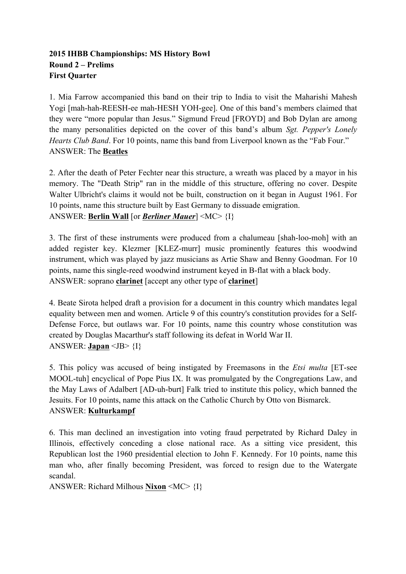## **2015 IHBB Championships: MS History Bowl Round 2 – Prelims First Quarter**

1. Mia Farrow accompanied this band on their trip to India to visit the Maharishi Mahesh Yogi [mah-hah-REESH-ee mah-HESH YOH-gee]. One of this band's members claimed that they were "more popular than Jesus." Sigmund Freud [FROYD] and Bob Dylan are among the many personalities depicted on the cover of this band's album *Sgt. Pepper's Lonely Hearts Club Band*. For 10 points, name this band from Liverpool known as the "Fab Four." ANSWER: The **Beatles**

2. After the death of Peter Fechter near this structure, a wreath was placed by a mayor in his memory. The "Death Strip" ran in the middle of this structure, offering no cover. Despite Walter Ulbricht's claims it would not be built, construction on it began in August 1961. For 10 points, name this structure built by East Germany to dissuade emigration. ANSWER: **Berlin Wall** [or *Berliner Mauer*] <MC> {I}

3. The first of these instruments were produced from a chalumeau [shah-loo-moh] with an added register key. Klezmer [KLEZ-murr] music prominently features this woodwind instrument, which was played by jazz musicians as Artie Shaw and Benny Goodman. For 10 points, name this single-reed woodwind instrument keyed in B-flat with a black body. ANSWER: soprano **clarinet** [accept any other type of **clarinet**]

4. Beate Sirota helped draft a provision for a document in this country which mandates legal equality between men and women. Article 9 of this country's constitution provides for a Self-Defense Force, but outlaws war. For 10 points, name this country whose constitution was created by Douglas Macarthur's staff following its defeat in World War II. ANSWER: **Japan** <JB> {I}

5. This policy was accused of being instigated by Freemasons in the *Etsi multa* [ET-see MOOL-tuh] encyclical of Pope Pius IX. It was promulgated by the Congregations Law, and the May Laws of Adalbert [AD-uh-burt] Falk tried to institute this policy, which banned the Jesuits. For 10 points, name this attack on the Catholic Church by Otto von Bismarck. ANSWER: **Kulturkampf**

6. This man declined an investigation into voting fraud perpetrated by Richard Daley in Illinois, effectively conceding a close national race. As a sitting vice president, this Republican lost the 1960 presidential election to John F. Kennedy. For 10 points, name this man who, after finally becoming President, was forced to resign due to the Watergate scandal.

ANSWER: Richard Milhous **Nixon** <MC> {I}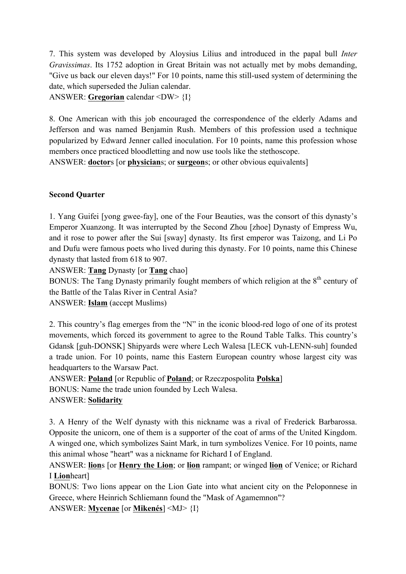7. This system was developed by Aloysius Lilius and introduced in the papal bull *Inter Gravissimas*. Its 1752 adoption in Great Britain was not actually met by mobs demanding, "Give us back our eleven days!" For 10 points, name this still-used system of determining the date, which superseded the Julian calendar.

ANSWER: **Gregorian** calendar <DW> {I}

8. One American with this job encouraged the correspondence of the elderly Adams and Jefferson and was named Benjamin Rush. Members of this profession used a technique popularized by Edward Jenner called inoculation. For 10 points, name this profession whose members once practiced bloodletting and now use tools like the stethoscope.

ANSWER: **doctor**s [or **physician**s; or **surgeon**s; or other obvious equivalents]

## **Second Quarter**

1. Yang Guifei [yong gwee-fay], one of the Four Beauties, was the consort of this dynasty's Emperor Xuanzong. It was interrupted by the Second Zhou [zhoe] Dynasty of Empress Wu, and it rose to power after the Sui [sway] dynasty. Its first emperor was Taizong, and Li Po and Dufu were famous poets who lived during this dynasty. For 10 points, name this Chinese dynasty that lasted from 618 to 907.

ANSWER: **Tang** Dynasty [or **Tang** chao]

BONUS: The Tang Dynasty primarily fought members of which religion at the  $8<sup>th</sup>$  century of the Battle of the Talas River in Central Asia?

ANSWER: **Islam** (accept Muslims)

2. This country's flag emerges from the "N" in the iconic blood-red logo of one of its protest movements, which forced its government to agree to the Round Table Talks. This country's Gdansk [guh-DONSK] Shipyards were where Lech Walesa [LECK vuh-LENN-suh] founded a trade union. For 10 points, name this Eastern European country whose largest city was headquarters to the Warsaw Pact.

ANSWER: **Poland** [or Republic of **Poland**; or Rzeczpospolita **Polska**] BONUS: Name the trade union founded by Lech Walesa. ANSWER: **Solidarity**

3. A Henry of the Welf dynasty with this nickname was a rival of Frederick Barbarossa. Opposite the unicorn, one of them is a supporter of the coat of arms of the United Kingdom. A winged one, which symbolizes Saint Mark, in turn symbolizes Venice. For 10 points, name this animal whose "heart" was a nickname for Richard I of England.

ANSWER: **lion**s [or **Henry the Lion**; or **lion** rampant; or winged **lion** of Venice; or Richard I **Lion**heart]

BONUS: Two lions appear on the Lion Gate into what ancient city on the Peloponnese in Greece, where Heinrich Schliemann found the "Mask of Agamemnon"?

ANSWER: **Mycenae** [or **Mikenés**] <MJ> {I}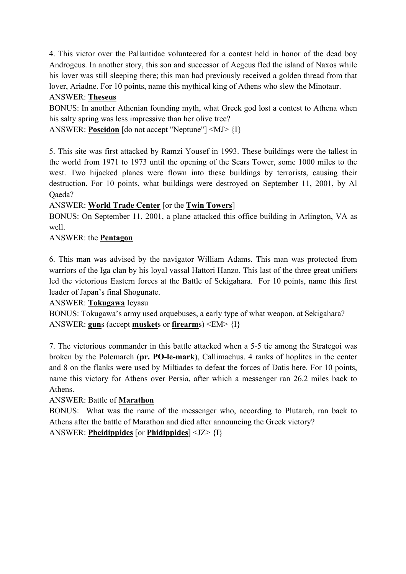4. This victor over the Pallantidae volunteered for a contest held in honor of the dead boy Androgeus. In another story, this son and successor of Aegeus fled the island of Naxos while his lover was still sleeping there; this man had previously received a golden thread from that lover, Ariadne. For 10 points, name this mythical king of Athens who slew the Minotaur. ANSWER: **Theseus**

BONUS: In another Athenian founding myth, what Greek god lost a contest to Athena when his salty spring was less impressive than her olive tree?

ANSWER: **Poseidon** [do not accept "Neptune"] <MJ> {I}

5. This site was first attacked by Ramzi Yousef in 1993. These buildings were the tallest in the world from 1971 to 1973 until the opening of the Sears Tower, some 1000 miles to the west. Two hijacked planes were flown into these buildings by terrorists, causing their destruction. For 10 points, what buildings were destroyed on September 11, 2001, by Al Oaeda?

## ANSWER: **World Trade Center** [or the **Twin Towers**]

BONUS: On September 11, 2001, a plane attacked this office building in Arlington, VA as well.

ANSWER: the **Pentagon**

6. This man was advised by the navigator William Adams. This man was protected from warriors of the Iga clan by his loyal vassal Hattori Hanzo. This last of the three great unifiers led the victorious Eastern forces at the Battle of Sekigahara. For 10 points, name this first leader of Japan's final Shogunate.

ANSWER: **Tokugawa** Ieyasu

BONUS: Tokugawa's army used arquebuses, a early type of what weapon, at Sekigahara? ANSWER: **gun**s (accept **musket**s or **firearm**s) <EM> {I}

7. The victorious commander in this battle attacked when a 5-5 tie among the Strategoi was broken by the Polemarch (**pr. PO-le-mark**), Callimachus. 4 ranks of hoplites in the center and 8 on the flanks were used by Miltiades to defeat the forces of Datis here. For 10 points, name this victory for Athens over Persia, after which a messenger ran 26.2 miles back to Athens.

#### ANSWER: Battle of **Marathon**

BONUS: What was the name of the messenger who, according to Plutarch, ran back to Athens after the battle of Marathon and died after announcing the Greek victory? ANSWER: **Pheidippides** [or **Phidippides**] <JZ> {I}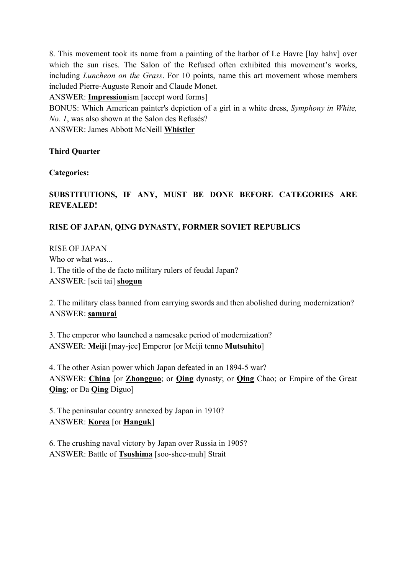8. This movement took its name from a painting of the harbor of Le Havre [lay hahv] over which the sun rises. The Salon of the Refused often exhibited this movement's works, including *Luncheon on the Grass*. For 10 points, name this art movement whose members included Pierre-Auguste Renoir and Claude Monet.

ANSWER: **Impression**ism [accept word forms]

BONUS: Which American painter's depiction of a girl in a white dress, *Symphony in White, No. 1*, was also shown at the Salon des Refusés?

ANSWER: James Abbott McNeill **Whistler**

#### **Third Quarter**

**Categories:**

## **SUBSTITUTIONS, IF ANY, MUST BE DONE BEFORE CATEGORIES ARE REVEALED!**

#### **RISE OF JAPAN, QING DYNASTY, FORMER SOVIET REPUBLICS**

RISE OF JAPAN Who or what was... 1. The title of the de facto military rulers of feudal Japan? ANSWER: [seii tai] **shogun**

2. The military class banned from carrying swords and then abolished during modernization? ANSWER: **samurai**

3. The emperor who launched a namesake period of modernization? ANSWER: **Meiji** [may-jee] Emperor [or Meiji tenno **Mutsuhito**]

4. The other Asian power which Japan defeated in an 1894-5 war? ANSWER: **China** [or **Zhongguo**; or **Qing** dynasty; or **Qing** Chao; or Empire of the Great **Qing**; or Da **Qing** Diguo]

5. The peninsular country annexed by Japan in 1910? ANSWER: **Korea** [or **Hanguk**]

6. The crushing naval victory by Japan over Russia in 1905? ANSWER: Battle of **Tsushima** [soo-shee-muh] Strait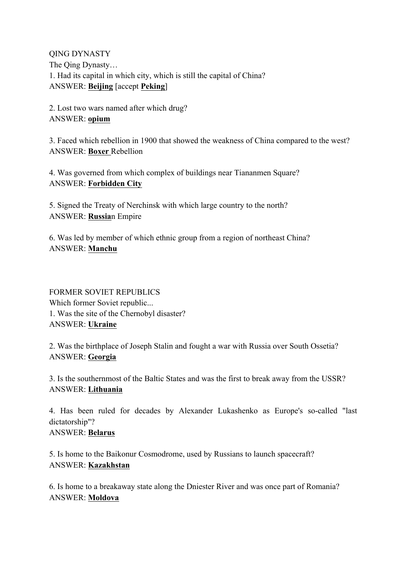QING DYNASTY The Qing Dynasty… 1. Had its capital in which city, which is still the capital of China? ANSWER: **Beijing** [accept **Peking**]

2. Lost two wars named after which drug? ANSWER: **opium**

3. Faced which rebellion in 1900 that showed the weakness of China compared to the west? ANSWER: **Boxer** Rebellion

4. Was governed from which complex of buildings near Tiananmen Square? ANSWER: **Forbidden City**

5. Signed the Treaty of Nerchinsk with which large country to the north? ANSWER: **Russia**n Empire

6. Was led by member of which ethnic group from a region of northeast China? ANSWER: **Manchu**

# FORMER SOVIET REPUBLICS Which former Soviet republic... 1. Was the site of the Chernobyl disaster? ANSWER: **Ukraine**

2. Was the birthplace of Joseph Stalin and fought a war with Russia over South Ossetia? ANSWER: **Georgia**

3. Is the southernmost of the Baltic States and was the first to break away from the USSR? ANSWER: **Lithuania**

4. Has been ruled for decades by Alexander Lukashenko as Europe's so-called "last dictatorship"? ANSWER: **Belarus**

5. Is home to the Baikonur Cosmodrome, used by Russians to launch spacecraft? ANSWER: **Kazakhstan**

6. Is home to a breakaway state along the Dniester River and was once part of Romania? ANSWER: **Moldova**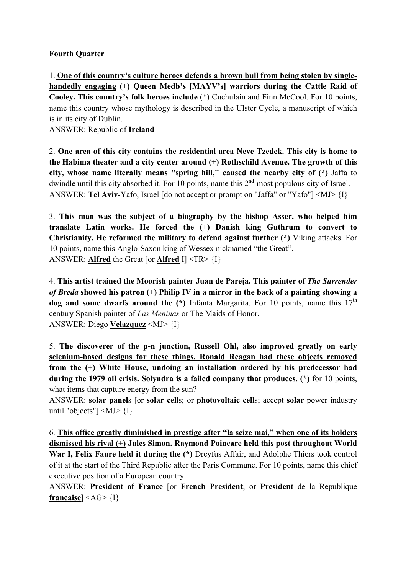#### **Fourth Quarter**

1. **One of this country's culture heroes defends a brown bull from being stolen by singlehandedly engaging (+) Queen Medb's [MAYV's] warriors during the Cattle Raid of Cooley. This country's folk heroes include** (\*) Cuchulain and Finn McCool. For 10 points, name this country whose mythology is described in the Ulster Cycle, a manuscript of which is in its city of Dublin.

ANSWER: Republic of **Ireland**

2. **One area of this city contains the residential area Neve Tzedek. This city is home to the Habima theater and a city center around (+) Rothschild Avenue. The growth of this city, whose name literally means "spring hill," caused the nearby city of (\*)** Jaffa to dwindle until this city absorbed it. For 10 points, name this  $2<sup>nd</sup>$ -most populous city of Israel. ANSWER: **Tel Aviv**-Yafo, Israel [do not accept or prompt on "Jaffa" or "Yafo"] <MJ> {I}

3. **This man was the subject of a biography by the bishop Asser, who helped him translate Latin works. He forced the (+) Danish king Guthrum to convert to Christianity. He reformed the military to defend against further (\*)** Viking attacks. For 10 points, name this Anglo-Saxon king of Wessex nicknamed "the Great". ANSWER: **Alfred** the Great [or **Alfred** I] <TR> {I}

4. **This artist trained the Moorish painter Juan de Pareja. This painter of** *The Surrender of Breda* **showed his patron (+) Philip IV in a mirror in the back of a painting showing a**  dog and some dwarfs around the (\*) Infanta Margarita. For 10 points, name this 17<sup>th</sup> century Spanish painter of *Las Meninas* or The Maids of Honor. ANSWER: Diego **Velazquez** <MJ> {I}

5. **The discoverer of the p-n junction, Russell Ohl, also improved greatly on early selenium-based designs for these things. Ronald Reagan had these objects removed from the (+) White House, undoing an installation ordered by his predecessor had during the 1979 oil crisis. Solyndra is a failed company that produces, (\*)** for 10 points, what items that capture energy from the sun?

ANSWER: **solar panel**s [or **solar cell**s; or **photovoltaic cell**s; accept **solar** power industry until "objects" $|\langle MJ \rangle \langle I|\rangle$ 

6. **This office greatly diminished in prestige after "la seize mai," when one of its holders dismissed his rival (+) Jules Simon. Raymond Poincare held this post throughout World War I, Felix Faure held it during the (\*)** Dreyfus Affair, and Adolphe Thiers took control of it at the start of the Third Republic after the Paris Commune. For 10 points, name this chief executive position of a European country.

ANSWER: **President of France** [or **French President**; or **President** de la Republique **francaise**] <AG> {I}